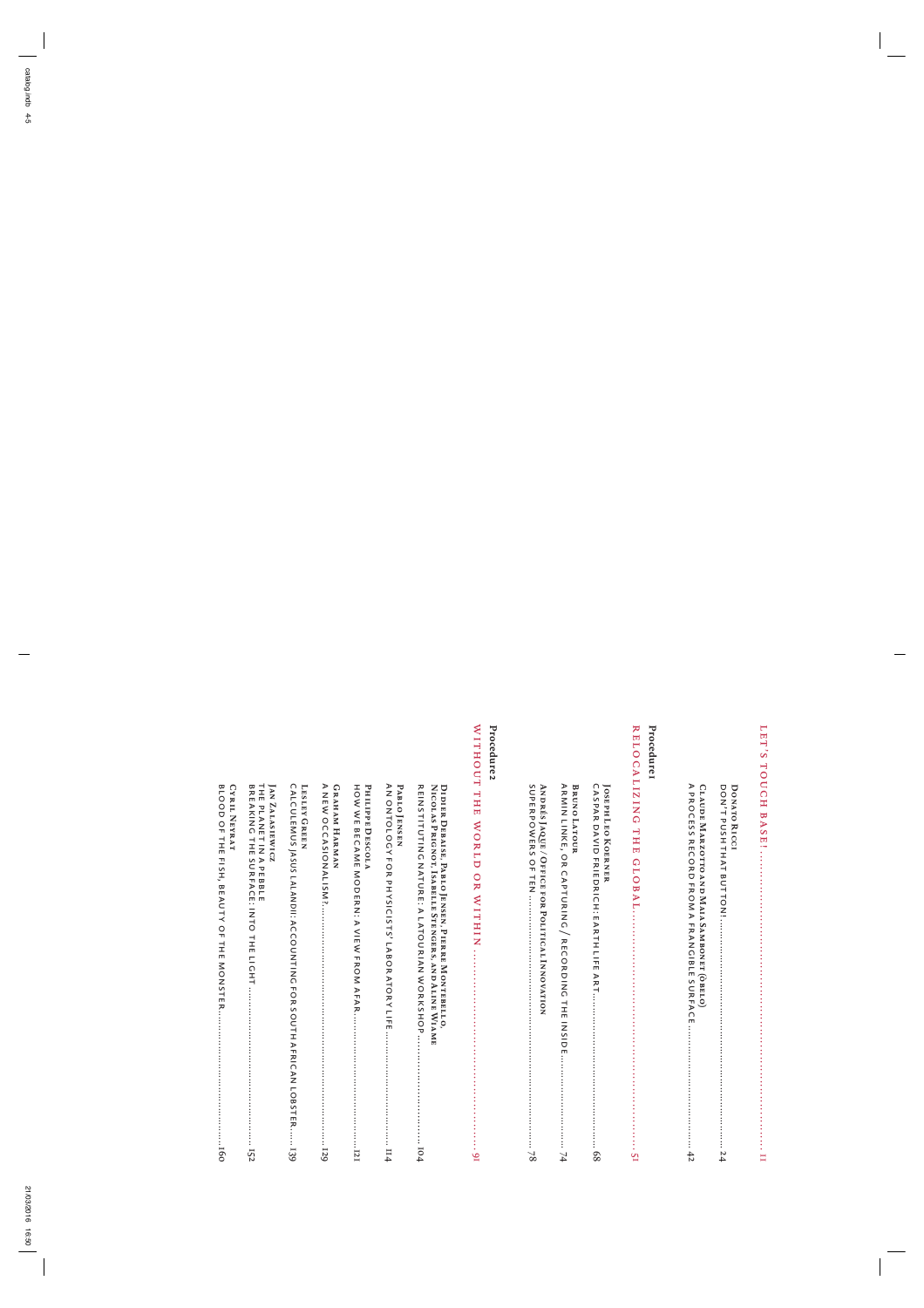$\overline{\phantom{a}}$ 

 $\overline{\mathbb{F}}$ 

 $\frac{1}{\sqrt{2}}$ 

| <b>DONATO RICCI</b> |  |
|---------------------|--|
|---------------------|--|

|  | LAUDE MARZOTTO AND MAIA SAMBONET (OBELO |  |
|--|-----------------------------------------|--|
|--|-----------------------------------------|--|

# **Procedure** Procedure1<br>RELOCALI

**C**A

| <b>ANDRES JAQUE/OFFICE FOR POLITICAL INNOVATION</b> | <b>BRUNOLATOUR</b> | <b>JOSEPH LEO KOERNER</b> |  |
|-----------------------------------------------------|--------------------|---------------------------|--|
|                                                     |                    |                           |  |

### **Procedure** Procedure 2<br>WITHOUT

| THE PLANET IN A PEBBLE<br><b>JAN ZALASIEWICZ</b> | LESLEY GREEN                                                                                                                                                                                                                   | GRAHAM HARMAN | Рнигре DESCOLA | PABLO ENSEN | DIDIER DEBAISE, PABLO JENSEN, PIERRE MONTEBELLO    |                                                                                                                                                                                                                                |
|--------------------------------------------------|--------------------------------------------------------------------------------------------------------------------------------------------------------------------------------------------------------------------------------|---------------|----------------|-------------|----------------------------------------------------|--------------------------------------------------------------------------------------------------------------------------------------------------------------------------------------------------------------------------------|
|                                                  | COLOSTIN SONT IN THE STRIP OF SALE AND THAN A THE SOLO AND INTEXANT OF THE STRIP OF THE STRIP ISSUES IN THE STRIP IS A THE STRIP ISSUES IN THE STRIP ISSUES IN THE STRIP ISSUES IN THE STRIP ISSUES IN THE STRIP IS A THE STRI |               |                |             | NICOUNS PRIONOU, ISSEPHENCHENGERS, AND PHINE NINNE | SITH OUR DESCRIPTION STRIP IS a series of the series of the strip is a series of the series of the series of the series of the series of the series of the series of the series of the series of the series of the series of t |

**CYRIL N**OF **EYRAT**

BLOOD

THE FISH,

> BEAUTY OF THE

> MONSTER

..............................................

160<br>160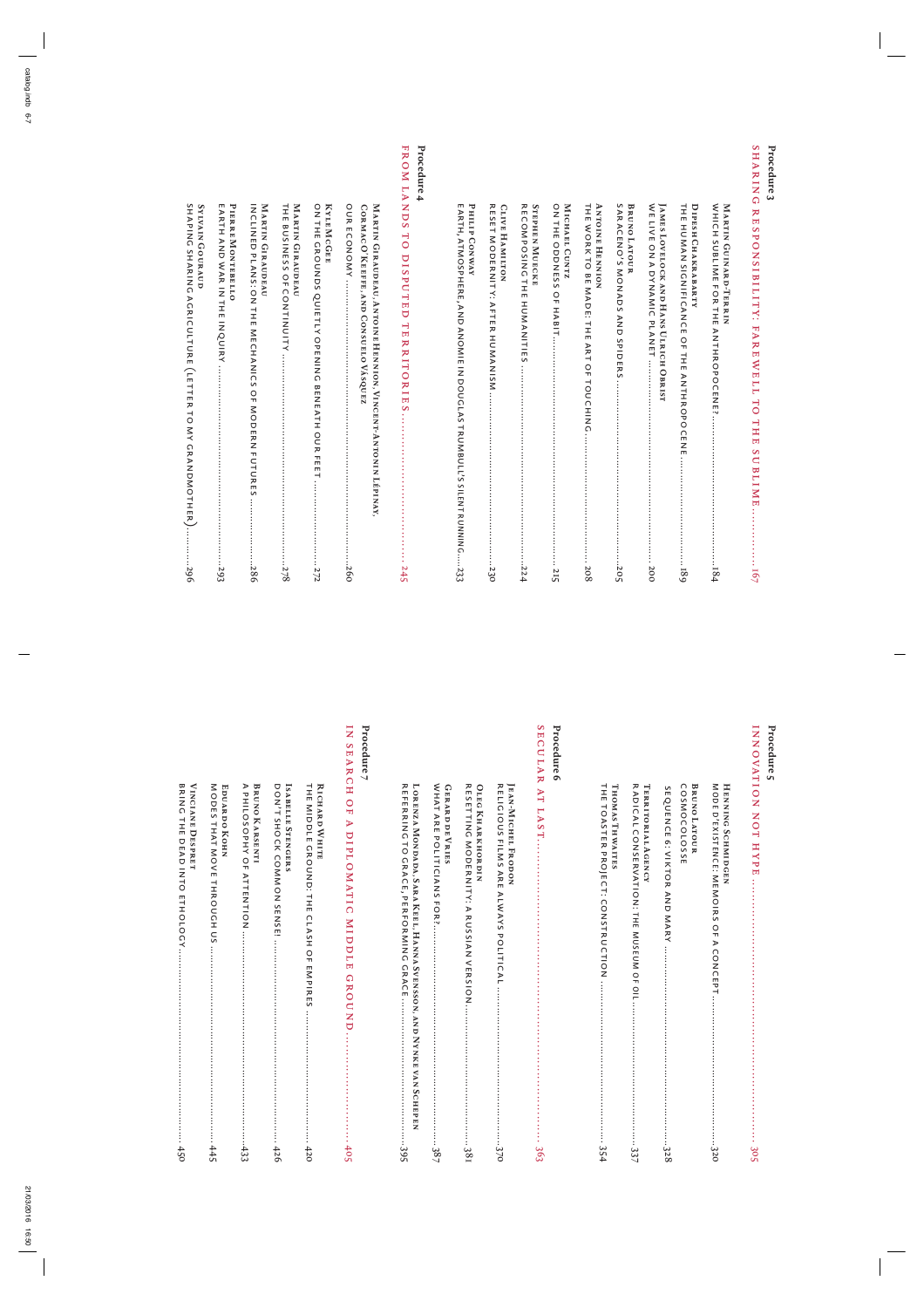### **Procedure** <u>ب</u> SHARING RESPONSIBILITY: FAREWEL L T O THE SUBLIME...............

| PHILIPCONWAY<br>E ARTH, ATMOSPHERE, AND ANOMIE IN DOUGLASTRUMBULL'S SILENT RUNNING233<br><b>CLIVE HAMILTON</b> |
|----------------------------------------------------------------------------------------------------------------|
| <b>STEPHEN MUECKE</b>                                                                                          |
| <b>MICHAEL CUNTZ</b>                                                                                           |
| <b>ANTOINE HENNION</b>                                                                                         |
| <b>BRUNO LATOUR</b>                                                                                            |
| JAMES LOVELOCK AND HANS ULRICH OBRIST                                                                          |
| DIPESH CHAKRABARTY                                                                                             |
| <b>MARTIN GUINARD-TERRIN</b>                                                                                   |

### **Procedure 4** L

FROM

 ANDS T O

DISPUTED

TERRITORIES

......................................

245

| CORMAC O'KEEFEE, AND CONSUELO VASQUEZ<br>IN ARIIN CIRACURACURA (AZIOIZE HEZZION), KIZOEZH-AA-JARIIN SINAXA, |
|-------------------------------------------------------------------------------------------------------------|
|                                                                                                             |
| KYLE McGEE                                                                                                  |
| MARTIN GIRAUDEAU                                                                                            |
| MARTIN GIRAUDEAU                                                                                            |
| PIERRE MONTEBELLO                                                                                           |

#### **YLVAIN GOURAUD** SHAPING SHARING AGRICULTURE $\overline{\phantom{0}}$ LETTER ನ MY GRANDMOTHER

**S**

INQUIRY

....................................................................

293

).............

296

BRING THE DEAD INTO

ETHOLOGY

..................................................................

450

#### **Procedure 5**

او⁄

|--|

### **Procedure Procedure 6**<br>SECULAR

| <b>JEAN-MICHEL FRODON</b>                                              |
|------------------------------------------------------------------------|
| <b>OLEG KHARKHORDIN</b>                                                |
| <b>GERARD DE VRIES</b>                                                 |
| LONENN WONDADY WAYN IN HILL, HANNA SOSS SOSS AND NINNEN NONDADY AND NO |

## **Procedure 7**

IN

| <b>RICHARD WHITE</b>    |
|-------------------------|
|                         |
| ISABELLE STENGERS       |
| <b>BRUNO KARSENTI</b>   |
| <b>EDUARDO KOHN</b>     |
| <b>VINCIANE DESPRET</b> |

 $\overline{\phantom{a}}$ 

 $\overline{\mathbb{F}}$ 

 $\overline{a}$